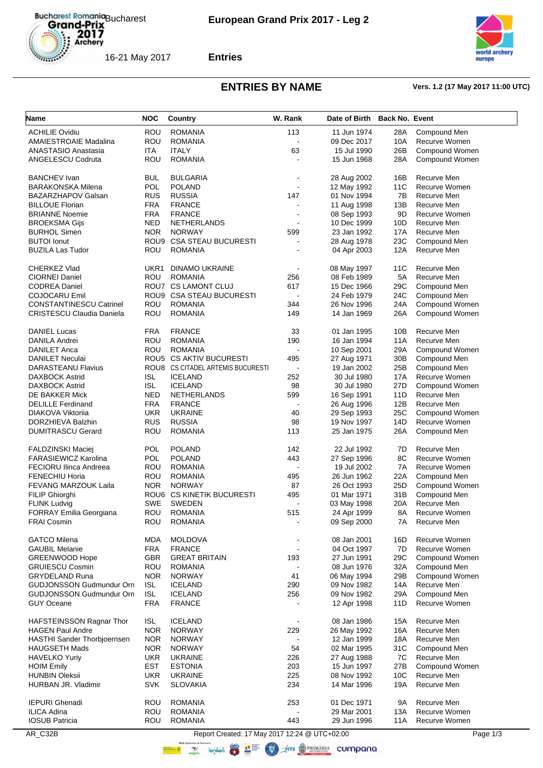



**Entries**

# **ENTRIES BY NAME Vers. 1.2 (17 May 2017 11:00 UTC)**

| Name                               | <b>NOC</b> | Country                                       | W. Rank                  | Date of Birth | <b>Back No. Event</b> |                |
|------------------------------------|------------|-----------------------------------------------|--------------------------|---------------|-----------------------|----------------|
| <b>ACHILIE Ovidiu</b>              | ROU        | <b>ROMANIA</b>                                | 113                      | 11 Jun 1974   | 28A                   | Compound Men   |
| <b>AMAIESTROAIE Madalina</b>       | ROU        | <b>ROMANIA</b>                                | $\sim$                   | 09 Dec 2017   | 10A                   | Recurve Women  |
| ANASTASIO Anastasia                | ITA        | <b>ITALY</b>                                  | 63                       | 15 Jul 1990   | 26B                   | Compound Women |
| ANGELESCU Codruta                  | ROU        | <b>ROMANIA</b>                                |                          | 15 Jun 1968   | 28A                   | Compound Women |
|                                    |            |                                               |                          |               |                       |                |
| <b>BANCHEV Ivan</b>                | <b>BUL</b> | <b>BULGARIA</b>                               |                          | 28 Aug 2002   | 16B                   | Recurve Men    |
| <b>BARAKONSKA Milena</b>           | <b>POL</b> | <b>POLAND</b>                                 |                          | 12 May 1992   | 11C                   | Recurve Women  |
| <b>BAZARZHAPOV Galsan</b>          | <b>RUS</b> | <b>RUSSIA</b>                                 | 147                      | 01 Nov 1994   | 7B                    | Recurve Men    |
| <b>BILLOUE Florian</b>             | <b>FRA</b> | <b>FRANCE</b>                                 |                          | 11 Aug 1998   | 13B                   | Recurve Men    |
| <b>BRIANNE Noemie</b>              | <b>FRA</b> | <b>FRANCE</b>                                 |                          | 08 Sep 1993   | 9D                    | Recurve Women  |
| <b>BROEKSMA Gijs</b>               | <b>NED</b> | <b>NETHERLANDS</b>                            |                          | 10 Dec 1999   | 10D                   | Recurve Men    |
| <b>BURHOL Simen</b>                | <b>NOR</b> | <b>NORWAY</b>                                 | 599                      | 23 Jan 1992   | 17A                   | Recurve Men    |
| <b>BUTOI</b> Ionut                 |            | ROU9 CSA STEAU BUCURESTI                      |                          | 28 Aug 1978   | 23C                   | Compound Men   |
| <b>BUZILA Las Tudor</b>            | ROU        | <b>ROMANIA</b>                                |                          | 04 Apr 2003   | 12A                   | Recurve Men    |
| CHERKEZ Vlad                       | UKR1       | DINAMO UKRAINE                                |                          | 08 May 1997   | 11 <sub>C</sub>       | Recurve Men    |
| <b>CIORNEI Daniel</b>              | ROU        | <b>ROMANIA</b>                                | 256                      | 08 Feb 1989   | 5A                    | Recurve Men    |
| <b>CODREA Daniel</b>               |            | ROU7 CS LAMONT CLUJ                           | 617                      | 15 Dec 1966   | 29C                   | Compound Men   |
| COJOCARU Emil                      |            | ROU9 CSA STEAU BUCURESTI                      |                          | 24 Feb 1979   | 24C                   | Compound Men   |
| <b>CONSTANTINESCU Catrinel</b>     | ROU        | <b>ROMANIA</b>                                | 344                      | 26 Nov 1996   | 24A                   | Compound Women |
| <b>CRISTESCU Claudia Daniela</b>   | ROU        | <b>ROMANIA</b>                                | 149                      | 14 Jan 1969   | 26A                   | Compound Women |
|                                    |            |                                               |                          |               |                       |                |
| <b>DANIEL Lucas</b>                | <b>FRA</b> | <b>FRANCE</b>                                 | 33                       | 01 Jan 1995   | 10B                   | Recurve Men    |
| DANILA Andrei                      | ROU        | <b>ROMANIA</b>                                | 190                      | 16 Jan 1994   | 11A                   | Recurve Men    |
| <b>DANILET Anca</b>                | ROU        | <b>ROMANIA</b>                                | $\blacksquare$           | 10 Sep 2001   | 29A                   | Compound Women |
| <b>DANILET Neculai</b>             |            | ROU5 CS AKTIV BUCURESTI                       | 495                      | 27 Aug 1971   | 30 <sub>B</sub>       | Compound Men   |
| DARASTEANU Flavius                 |            | ROU8 CS CITADEL ARTEMIS BUCURESTI             |                          | 19 Jan 2002   | 25B                   | Compound Men   |
| <b>DAXBOCK Astrid</b>              | ISL        | <b>ICELAND</b>                                | 252                      | 30 Jul 1980   | 17A                   | Recurve Women  |
| <b>DAXBOCK Astrid</b>              | <b>ISL</b> | <b>ICELAND</b>                                | 98                       | 30 Jul 1980   | 27D                   | Compound Women |
| DE BAKKER Mick                     | <b>NED</b> | <b>NETHERLANDS</b>                            | 599                      | 16 Sep 1991   | 11D                   | Recurve Men    |
| <b>DELILLE Ferdinand</b>           | <b>FRA</b> | <b>FRANCE</b>                                 | $\blacksquare$           | 26 Aug 1996   | 12B                   | Recurve Men    |
| DIAKOVA Viktorija                  | <b>UKR</b> | <b>UKRAINE</b>                                | 40                       | 29 Sep 1993   | 25C                   | Compound Women |
| DORZHIEVA Balzhin                  | <b>RUS</b> | <b>RUSSIA</b>                                 | 98                       | 19 Nov 1997   | 14D                   | Recurve Women  |
| <b>DUMITRASCU Gerard</b>           | ROU        | <b>ROMANIA</b>                                | 113                      | 25 Jan 1975   | 26A                   | Compound Men   |
| <b>FALDZINSKI Maciej</b>           | <b>POL</b> | <b>POLAND</b>                                 | 142                      | 22 Jul 1992   | 7D                    | Recurve Men    |
| <b>FARASIEWICZ Karolina</b>        | POL        | <b>POLAND</b>                                 | 443                      | 27 Sep 1996   | 8C                    | Recurve Women  |
| <b>FECIORU Ilinca Andreea</b>      | ROU        | <b>ROMANIA</b>                                | $\overline{\phantom{a}}$ | 19 Jul 2002   | 7A                    | Recurve Women  |
| <b>FENECHIU Horia</b>              | ROU        | <b>ROMANIA</b>                                | 495                      | 26 Jun 1962   | 22A                   | Compound Men   |
| <b>FEVANG MARZOUK Laila</b>        | <b>NOR</b> | <b>NORWAY</b>                                 | 87                       | 26 Oct 1993   | 25D                   | Compound Women |
| FILIP Ghiorghi                     |            | ROU6 CS KINETIK BUCURESTI                     | 495                      | 01 Mar 1971   | 31B                   | Compound Men   |
| <b>FLINK Ludvig</b>                | <b>SWE</b> | <b>SWEDEN</b>                                 |                          | 03 May 1998   | 20A                   | Recurve Men    |
| <b>FORRAY Emilia Georgiana</b>     | ROU        | ROMANIA                                       | 515                      | 24 Apr 1999   | 8A                    | Recurve Women  |
| <b>FRAI Cosmin</b>                 | ROU        | <b>ROMANIA</b>                                | $\blacksquare$           | 09 Sep 2000   | 7A                    | Recurve Men    |
|                                    |            |                                               |                          |               |                       |                |
| <b>GATCO Milena</b>                | <b>MDA</b> | <b>MOLDOVA</b>                                |                          | 08 Jan 2001   | 16D                   | Recurve Women  |
| <b>GAUBIL Melanie</b>              | <b>FRA</b> | <b>FRANCE</b>                                 | $\blacksquare$           | 04 Oct 1997   | 7D                    | Recurve Women  |
| <b>GREENWOOD Hope</b>              | <b>GBR</b> | <b>GREAT BRITAIN</b>                          | 193                      | 27 Jun 1991   | 29C                   | Compound Women |
| <b>GRUIESCU Cosmin</b>             | ROU        | <b>ROMANIA</b>                                |                          | 08 Jun 1976   | 32A                   | Compound Men   |
| <b>GRYDELAND Runa</b>              | <b>NOR</b> | <b>NORWAY</b>                                 | 41                       | 06 May 1994   | 29B                   | Compound Women |
| <b>GUDJONSSON Gudmundur Orn</b>    | ISL        | <b>ICELAND</b>                                | 290                      | 09 Nov 1982   | 14A                   | Recurve Men    |
| GUDJONSSON Gudmundur Orn           | <b>ISL</b> | <b>ICELAND</b>                                | 256                      | 09 Nov 1982   | 29A                   | Compound Men   |
| <b>GUY Oceane</b>                  | <b>FRA</b> | <b>FRANCE</b>                                 |                          | 12 Apr 1998   | 11D                   | Recurve Women  |
| HAFSTEINSSON Ragnar Thor           | <b>ISL</b> | <b>ICELAND</b>                                |                          | 08 Jan 1986   | 15A                   | Recurve Men    |
| <b>HAGEN Paul Andre</b>            | <b>NOR</b> | <b>NORWAY</b>                                 | 229                      | 26 May 1992   | 16A                   | Recurve Men    |
| <b>HASTHI Sander Thorbjoernsen</b> | <b>NOR</b> | <b>NORWAY</b>                                 |                          | 12 Jan 1999   | 18A                   | Recurve Men    |
| <b>HAUGSETH Mads</b>               | <b>NOR</b> | <b>NORWAY</b>                                 | 54                       | 02 Mar 1995   | 31C                   | Compound Men   |
| <b>HAVELKO Yuriy</b>               | <b>UKR</b> | <b>UKRAINE</b>                                | 226                      | 27 Aug 1988   | 7C                    | Recurve Men    |
| <b>HOIM Emily</b>                  | EST        | <b>ESTONIA</b>                                | 203                      | 15 Jun 1997   | 27B                   | Compound Women |
| <b>HUNBIN Oleksii</b>              | <b>UKR</b> | <b>UKRAINE</b>                                | 225                      | 08 Nov 1992   | 10 <sub>C</sub>       | Recurve Men    |
| HURBAN JR. Vladimir                | <b>SVK</b> | <b>SLOVAKIA</b>                               | 234                      | 14 Mar 1996   | 19A                   | Recurve Men    |
|                                    |            |                                               |                          |               |                       |                |
| <b>IEPURI Ghenadi</b>              | ROU        | <b>ROMANIA</b>                                | 253                      | 01 Dec 1971   | 9A                    | Recurve Men    |
| <b>ILICA Adina</b>                 | ROU        | <b>ROMANIA</b>                                |                          | 29 Mar 2001   | 13A                   | Recurve Women  |
| <b>IOSUB Patricia</b>              | <b>ROU</b> | <b>ROMANIA</b>                                | 443                      | 29 Jun 1996   | 11A                   | Recurve Women  |
| AR_C32B                            |            | Report Created: 17 May 2017 12:24 @ UTC+02:00 |                          |               |                       | Page 1/3       |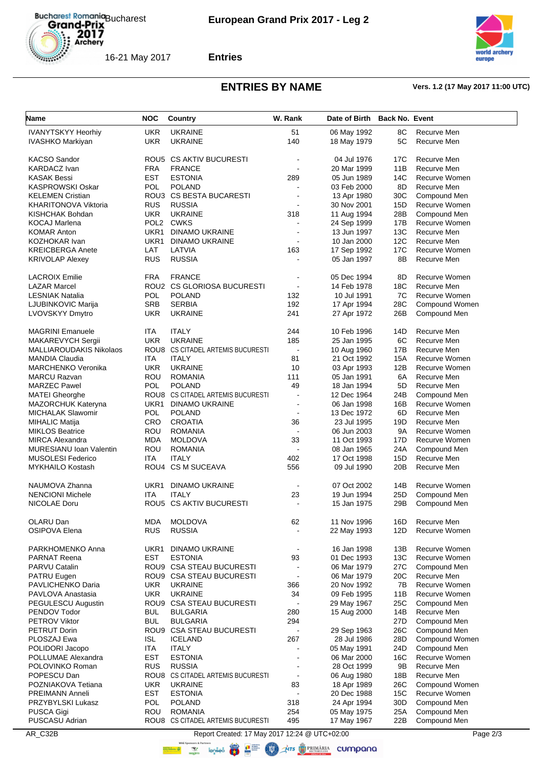



**Entries**

# **ENTRIES BY NAME Vers. 1.2 (17 May 2017 11:00 UTC)**

| Name                                                 | <b>NOC</b>        | <b>Country</b>                    | W. Rank                      | Date of Birth | <b>Back No. Event</b> |                               |
|------------------------------------------------------|-------------------|-----------------------------------|------------------------------|---------------|-----------------------|-------------------------------|
|                                                      | <b>UKR</b>        | <b>UKRAINE</b>                    | 51                           |               |                       | Recurve Men                   |
| <b>IVANYTSKYY Heorhiy</b><br><b>IVASHKO Markiyan</b> | <b>UKR</b>        | <b>UKRAINE</b>                    | 140                          | 06 May 1992   | 8C<br>5C              | Recurve Men                   |
|                                                      |                   |                                   |                              | 18 May 1979   |                       |                               |
| <b>KACSO Sandor</b>                                  |                   | ROU5 CS AKTIV BUCURESTI           | ä,                           | 04 Jul 1976   | 17C                   | Recurve Men                   |
| <b>KARDACZ Ivan</b>                                  | <b>FRA</b>        | <b>FRANCE</b>                     | ä,                           | 20 Mar 1999   | 11B                   | Recurve Men                   |
| <b>KASAK Bessi</b>                                   | EST               | <b>ESTONIA</b>                    | 289                          | 05 Jun 1989   | 14C                   | <b>Recurve Women</b>          |
| <b>KASPROWSKI Oskar</b>                              | POL               | <b>POLAND</b>                     |                              | 03 Feb 2000   | 8D                    | Recurve Men                   |
| <b>KELEMEN Cristian</b>                              |                   | ROU3 CS BESTA BUCARESTI           |                              | 13 Apr 1980   | 30C                   | Compound Men                  |
| <b>KHARITONOVA Viktoria</b>                          | <b>RUS</b>        | <b>RUSSIA</b>                     |                              | 30 Nov 2001   | 15D                   | Recurve Women                 |
| KISHCHAK Bohdan                                      | <b>UKR</b>        | <b>UKRAINE</b>                    | 318                          | 11 Aug 1994   | 28B                   | Compound Men                  |
| <b>KOCAJ Marlena</b>                                 |                   | POL2 CWKS                         |                              | 24 Sep 1999   | 17B                   | Recurve Women                 |
| <b>KOMAR Anton</b>                                   | UKR1              | <b>DINAMO UKRAINE</b>             |                              | 13 Jun 1997   | 13C                   | Recurve Men                   |
| KOZHOKAR Ivan                                        | UKR1              | <b>DINAMO UKRAINE</b>             | ä,                           | 10 Jan 2000   | 12C                   | Recurve Men                   |
| <b>KREICBERGA Anete</b>                              | LAT               | LATVIA                            | 163                          | 17 Sep 1992   | 17C                   | Recurve Women                 |
| <b>KRIVOLAP Alexey</b>                               | <b>RUS</b>        | <b>RUSSIA</b>                     |                              | 05 Jan 1997   | 8B                    | Recurve Men                   |
|                                                      |                   |                                   |                              |               |                       |                               |
| <b>LACROIX Emilie</b>                                | <b>FRA</b>        | <b>FRANCE</b>                     | ä,                           | 05 Dec 1994   | 8D                    | Recurve Women                 |
| <b>LAZAR Marcel</b>                                  |                   | ROU2 CS GLORIOSA BUCURESTI        | ä,                           | 14 Feb 1978   | 18C                   | Recurve Men                   |
| <b>LESNIAK Natalia</b>                               | POL               | <b>POLAND</b>                     | 132                          | 10 Jul 1991   | 7C                    | <b>Recurve Women</b>          |
| LJUBINKOVIC Marija                                   | <b>SRB</b>        | <b>SERBIA</b>                     | 192                          | 17 Apr 1994   | 28C                   | Compound Women                |
| <b>LVOVSKYY Dmytro</b>                               | <b>UKR</b>        | <b>UKRAINE</b>                    | 241                          | 27 Apr 1972   | 26B                   | Compound Men                  |
|                                                      |                   |                                   |                              |               |                       |                               |
| <b>MAGRINI Emanuele</b>                              | <b>ITA</b>        | <b>ITALY</b>                      | 244                          | 10 Feb 1996   | 14D                   | Recurve Men                   |
| MAKAREVYCH Sergii                                    | <b>UKR</b>        | <b>UKRAINE</b>                    | 185                          | 25 Jan 1995   | 6C                    | Recurve Men                   |
| <b>MALLIAROUDAKIS Nikolaos</b>                       |                   | ROU8 CS CITADEL ARTEMIS BUCURESTI | $\blacksquare$               | 10 Aug 1960   | 17B                   | Recurve Men                   |
| <b>MANDIA Claudia</b>                                | ITA               | <b>ITALY</b>                      | 81                           | 21 Oct 1992   | 15A                   | Recurve Women                 |
| <b>MARCHENKO Veronika</b>                            | <b>UKR</b>        | <b>UKRAINE</b>                    | 10                           | 03 Apr 1993   | 12B                   | <b>Recurve Women</b>          |
| <b>MARCU Razvan</b>                                  | ROU               | <b>ROMANIA</b>                    | 111                          | 05 Jan 1991   | 6A                    | Recurve Men                   |
| <b>MARZEC Pawel</b>                                  | <b>POL</b>        | <b>POLAND</b>                     | 49                           | 18 Jan 1994   | 5D                    | Recurve Men                   |
|                                                      |                   | ROU8 CS CITADEL ARTEMIS BUCURESTI | ä,                           |               |                       |                               |
| <b>MATEI Gheorghe</b>                                |                   |                                   |                              | 12 Dec 1964   | 24B                   | Compound Men<br>Recurve Women |
| <b>MAZORCHUK Kateryna</b>                            | UKR1              | <b>DINAMO UKRAINE</b>             | $\qquad \qquad \blacksquare$ | 06 Jan 1998   | 16B                   |                               |
| <b>MICHALAK Slawomir</b>                             | <b>POL</b><br>CRO | <b>POLAND</b><br><b>CROATIA</b>   | $\blacksquare$               | 13 Dec 1972   | 6D                    | Recurve Men                   |
| <b>MIHALIC Matija</b>                                |                   |                                   | 36                           | 23 Jul 1995   | 19D                   | Recurve Men                   |
| <b>MIKLOS Beatrice</b>                               | ROU               | <b>ROMANIA</b>                    |                              | 06 Jun 2003   | <b>9A</b>             | <b>Recurve Women</b>          |
| <b>MIRCA Alexandra</b>                               | <b>MDA</b>        | <b>MOLDOVA</b>                    | 33                           | 11 Oct 1993   | 17D                   | Recurve Women                 |
| <b>MURESIANU Ioan Valentin</b>                       | ROU               | <b>ROMANIA</b>                    | L.                           | 08 Jan 1965   | 24A                   | Compound Men                  |
| <b>MUSOLESI Federico</b>                             | ITA               | <b>ITALY</b>                      | 402                          | 17 Oct 1998   | 15D                   | Recurve Men                   |
| <b>MYKHAILO Kostash</b>                              |                   | ROU4 CS M SUCEAVA                 | 556                          | 09 Jul 1990   | 20 <sub>B</sub>       | Recurve Men                   |
| NAUMOVA Zhanna                                       |                   | <b>DINAMO UKRAINE</b>             |                              | 07 Oct 2002   | 14B                   | Recurve Women                 |
| <b>NENCIONI Michele</b>                              | UKR1              | <b>ITALY</b>                      |                              | 19 Jun 1994   |                       | Compound Men                  |
|                                                      | <b>ITA</b>        | ROU5 CS AKTIV BUCURESTI           | 23                           |               | 25D                   |                               |
| NICOLAE Doru                                         |                   |                                   | $\blacksquare$               | 15 Jan 1975   | 29B                   | Compound Men                  |
| <b>OLARU Dan</b>                                     | <b>MDA</b>        | <b>MOLDOVA</b>                    | 62                           | 11 Nov 1996   | 16D                   | Recurve Men                   |
| <b>OSIPOVA Elena</b>                                 | <b>RUS</b>        | <b>RUSSIA</b>                     | L,                           | 22 May 1993   | 12D                   | Recurve Women                 |
|                                                      |                   |                                   |                              |               |                       |                               |
| PARKHOMENKO Anna                                     | UKR1              | DINAMO UKRAINE                    |                              | 16 Jan 1998   | 13B                   | <b>Recurve Women</b>          |
| <b>PARNAT Reena</b>                                  | EST               | <b>ESTONIA</b>                    | 93                           | 01 Dec 1993   | 13C                   | Recurve Women                 |
| PARVU Catalin                                        |                   | ROU9 CSA STEAU BUCURESTI          |                              | 06 Mar 1979   | 27C                   | Compound Men                  |
| PATRU Eugen                                          |                   | ROU9 CSA STEAU BUCURESTI          | $\blacksquare$               | 06 Mar 1979   | 20C                   | Recurve Men                   |
| PAVLICHENKO Daria                                    | <b>UKR</b>        | <b>UKRAINE</b>                    | 366                          | 20 Nov 1992   | 7В                    | Recurve Women                 |
| PAVLOVA Anastasia                                    | <b>UKR</b>        | <b>UKRAINE</b>                    | 34                           | 09 Feb 1995   | 11B                   | Recurve Women                 |
| PEGULESCU Augustin                                   |                   | ROU9 CSA STEAU BUCURESTI          |                              | 29 May 1967   | 25C                   | Compound Men                  |
| PENDOV Todor                                         | <b>BUL</b>        | <b>BULGARIA</b>                   | 280                          | 15 Aug 2000   | 14B                   | Recurve Men                   |
| PETROV Viktor                                        | <b>BUL</b>        | <b>BULGARIA</b>                   | 294                          |               | 27D                   | Compound Men                  |
| PETRUT Dorin                                         |                   | ROU9 CSA STEAU BUCURESTI          | $\blacksquare$               | 29 Sep 1963   | 26C                   | Compound Men                  |
| PLOSZAJ Ewa                                          | <b>ISL</b>        | <b>ICELAND</b>                    | 267                          | 28 Jul 1986   | 28D                   | Compound Women                |
| POLIDORI Jacopo                                      | ITA               | <b>ITALY</b>                      | $\blacksquare$               | 05 May 1991   | 24D                   | Compound Men                  |
| POLLUMAE Alexandra                                   | <b>EST</b>        | <b>ESTONIA</b>                    | $\blacksquare$               | 06 Mar 2000   | 16C                   | Recurve Women                 |
| POLOVINKO Roman                                      | <b>RUS</b>        | <b>RUSSIA</b>                     | $\overline{\phantom{0}}$     |               | 9Β                    | Recurve Men                   |
| POPESCU Dan                                          |                   | ROU8 CS CITADEL ARTEMIS BUCURESTI | $\blacksquare$               | 28 Oct 1999   |                       | Recurve Men                   |
|                                                      | <b>UKR</b>        |                                   |                              | 06 Aug 1980   | 18B                   |                               |
| POZNIAKOVA Tetiana                                   |                   | <b>UKRAINE</b>                    | 83                           | 18 Apr 1989   | 26C                   | Compound Women                |
| <b>PREIMANN Anneli</b>                               | <b>EST</b>        | <b>ESTONIA</b>                    | $\overline{a}$               | 20 Dec 1988   | 15C                   | Recurve Women                 |
| PRZYBYLSKI Lukasz                                    | <b>POL</b>        | <b>POLAND</b>                     | 318                          | 24 Apr 1994   | 30D                   | Compound Men                  |
| PUSCA Gigi                                           | ROU               | <b>ROMANIA</b>                    | 254                          | 05 May 1975   | 25A                   | Compound Men                  |
| PUSCASU Adrian                                       |                   | ROU8 CS CITADEL ARTEMIS BUCURESTI | 495                          | 17 May 1967   | 22B                   | Compound Men                  |

AR\_C32B Report Created: 17 May 2017 12:24 @ UTC+02:00